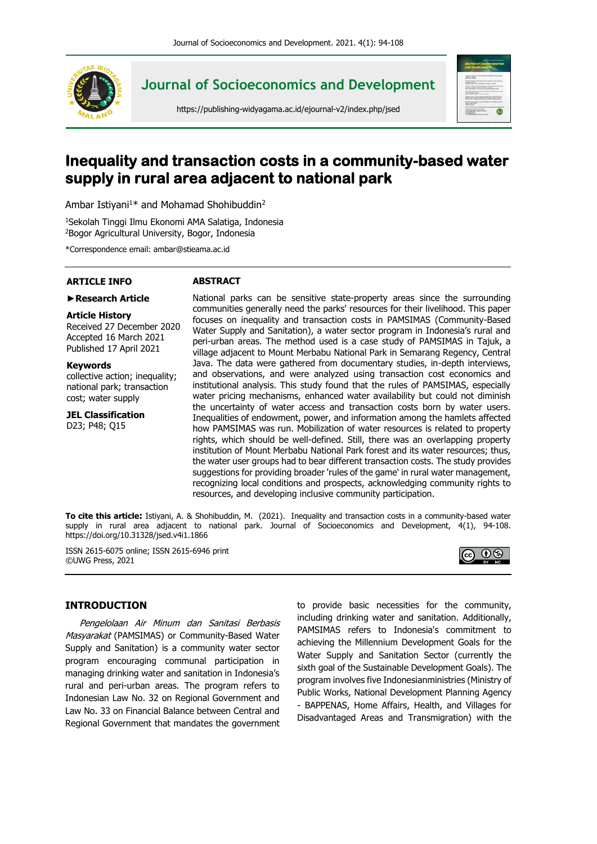

# **Journal of Socioeconomics and Development**

https://publishing-widyagama.ac.id/ejournal-v2/index.php/jsed



# **Inequality and transaction costs in a community-based water supply in rural area adjacent to national park**

Ambar Istiyani<sup>1\*</sup> and Mohamad Shohibuddin<sup>2</sup>

<sup>1</sup>Sekolah Tinggi Ilmu Ekonomi AMA Salatiga, Indonesia <sup>2</sup>Bogor Agricultural University, Bogor, Indonesia

\*Correspondence email: ambar@stieama.ac.id

## **ARTICLE INFO**

### **ABSTRACT**

## **►Research Article**

#### **Article History**

Received 27 December 2020 Accepted 16 March 2021 Published 17 April 2021

#### **Keywords**

collective action; inequality; national park; transaction cost; water supply

**[JEL Classification](https://www.aeaweb.org/econlit/jelCodes.php?view=econlit)** D23; P48; Q15

National parks can be sensitive state-property areas since the surrounding communities generally need the parks' resources for their livelihood. This paper focuses on inequality and transaction costs in PAMSIMAS (Community-Based Water Supply and Sanitation), a water sector program in Indonesia's rural and peri-urban areas. The method used is a case study of PAMSIMAS in Tajuk, a village adjacent to Mount Merbabu National Park in Semarang Regency, Central Java. The data were gathered from documentary studies, in-depth interviews, and observations, and were analyzed using transaction cost economics and institutional analysis. This study found that the rules of PAMSIMAS, especially water pricing mechanisms, enhanced water availability but could not diminish the uncertainty of water access and transaction costs born by water users. Inequalities of endowment, power, and information among the hamlets affected how PAMSIMAS was run. Mobilization of water resources is related to property rights, which should be well-defined. Still, there was an overlapping property institution of Mount Merbabu National Park forest and its water resources; thus, the water user groups had to bear different transaction costs. The study provides suggestions for providing broader 'rules of the game' in rural water management, recognizing local conditions and prospects, acknowledging community rights to resources, and developing inclusive community participation.

**To cite this article:** Istiyani, A. & Shohibuddin, M. (2021). Inequality and transaction costs in a community-based water supply in rural area adjacent to national park. Journal of Socioeconomics and Development, 4(1), 94-108. https://doi.org/10.31328/jsed.v4i1.1866

ISSN [2615-6075 online;](http://issn.pdii.lipi.go.id/issn.cgi?daftar&1519279394&1&&) [ISSN 2615-6946 print](http://issn.pdii.lipi.go.id/issn.cgi?daftar&1519281134&1&&) [©UWG Press, 2021](https://penerbitan.widyagama.ac.id/)



# **INTRODUCTION**

Pengelolaan Air Minum dan Sanitasi Berbasis Masyarakat (PAMSIMAS) or Community-Based Water Supply and Sanitation) is a community water sector program encouraging communal participation in managing drinking water and sanitation in Indonesia's rural and peri-urban areas. The program refers to Indonesian Law No. 32 on Regional Government and Law No. 33 on Financial Balance between Central and Regional Government that mandates the government

to provide basic necessities for the community, including drinking water and sanitation. Additionally, PAMSIMAS refers to Indonesia's commitment to achieving the Millennium Development Goals for the Water Supply and Sanitation Sector (currently the sixth goal of the Sustainable Development Goals). The program involves five Indonesianministries (Ministry of Public Works, National Development Planning Agency - BAPPENAS, Home Affairs, Health, and Villages for Disadvantaged Areas and Transmigration) with the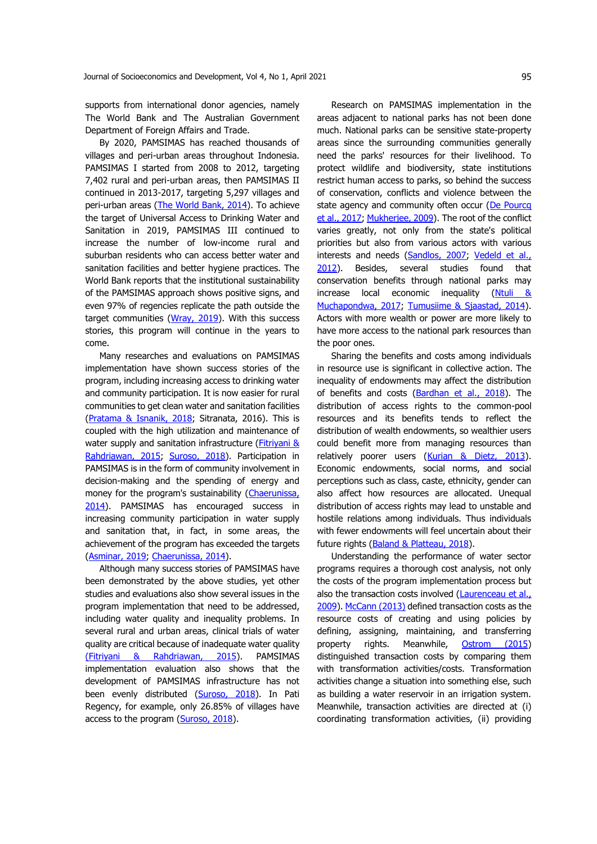supports from international donor agencies, namely The World Bank and The Australian Government Department of Foreign Affairs and Trade.

By 2020, PAMSIMAS has reached thousands of villages and peri-urban areas throughout Indonesia. PAMSIMAS I started from 2008 to 2012, targeting 7,402 rural and peri-urban areas, then PAMSIMAS II continued in 2013-2017, targeting 5,297 villages and peri-urban areas [\(The World Bank, 2014\)](#page-14-0). To achieve the target of Universal Access to Drinking Water and Sanitation in 2019, PAMSIMAS III continued to increase the number of low-income rural and suburban residents who can access better water and sanitation facilities and better hygiene practices. The World Bank reports that the institutional sustainability of the PAMSIMAS approach shows positive signs, and even 97% of regencies replicate the path outside the target communities [\(Wray, 2019\)](#page-14-1). With this success stories, this program will continue in the years to come.

Many researches and evaluations on PAMSIMAS implementation have shown success stories of the program, including increasing access to drinking water and community participation. It is now easier for rural communities to get clean water and sanitation facilities (Pratama & [Isnanik, 2018;](#page-14-2) Sitranata, 2016). This is coupled with the high utilization and maintenance of water supply and sanitation infrastructure (Fitriyani & [Rahdriawan, 2015;](#page-13-0) [Suroso, 2018\)](#page-14-3). Participation in PAMSIMAS is in the form of community involvement in decision-making and the spending of energy and money for the program's sustainability (Chaerunissa, [2014\)](#page-12-0). PAMSIMAS has encouraged success in increasing community participation in water supply and sanitation that, in fact, in some areas, the achievement of the program has exceeded the targets [\(Asminar, 2019;](#page-12-1) [Chaerunissa, 2014\)](#page-12-0).

Although many success stories of PAMSIMAS have been demonstrated by the above studies, yet other studies and evaluations also show several issues in the program implementation that need to be addressed, including water quality and inequality problems. In several rural and urban areas, clinical trials of water quality are critical because of inadequate water quality [\(Fitriyani & Rahdriawan, 2015\)](#page-13-0). PAMSIMAS implementation evaluation also shows that the development of PAMSIMAS infrastructure has not been evenly distributed [\(Suroso, 2018\)](#page-14-3). In Pati Regency, for example, only 26.85% of villages have access to the program [\(Suroso, 2018\)](#page-14-3).

Research on PAMSIMAS implementation in the areas adjacent to national parks has not been done much. National parks can be sensitive state-property areas since the surrounding communities generally need the parks' resources for their livelihood. To protect wildlife and biodiversity, state institutions restrict human access to parks, so behind the success of conservation, conflicts and violence between the state agency and community often occur (De Pourcg [et al., 2017;](#page-12-2) [Mukherjee, 2009\)](#page-13-1). The root of the conflict varies greatly, not only from the state's political priorities but also from various actors with various interests and needs [\(Sandlos, 2007;](#page-14-4) Vedeld et al., [2012\)](#page-14-5). Besides, several studies found that conservation benefits through national parks may increase local economic inequality [\(Ntuli &](#page-14-6)  [Muchapondwa, 2017;](#page-14-6) [Tumusiime & Sjaastad, 2014\)](#page-14-7). Actors with more wealth or power are more likely to have more access to the national park resources than the poor ones.

Sharing the benefits and costs among individuals in resource use is significant in collective action. The inequality of endowments may affect the distribution of benefits and costs [\(Bardhan et al., 2018\)](#page-12-3). The distribution of access rights to the common-pool resources and its benefits tends to reflect the distribution of wealth endowments, so wealthier users could benefit more from managing resources than relatively poorer users [\(Kurian & Dietz, 2013\)](#page-13-2). Economic endowments, social norms, and social perceptions such as class, caste, ethnicity, gender can also affect how resources are allocated. Unequal distribution of access rights may lead to unstable and hostile relations among individuals. Thus individuals with fewer endowments will feel uncertain about their future rights [\(Baland & Platteau, 2018\)](#page-12-4).

Understanding the performance of water sector programs requires a thorough cost analysis, not only the costs of the program implementation process but also the transaction costs involved (Laurenceau et al., [2009\)](#page-13-3)[. McCann](#page-13-4) (2013) defined transaction costs as the resource costs of creating and using policies by defining, assigning, maintaining, and transferring property rights. Meanwhile, [Ostrom \(2015\)](#page-14-8) distinguished transaction costs by comparing them with transformation activities/costs. Transformation activities change a situation into something else, such as building a water reservoir in an irrigation system. Meanwhile, transaction activities are directed at (i) coordinating transformation activities, (ii) providing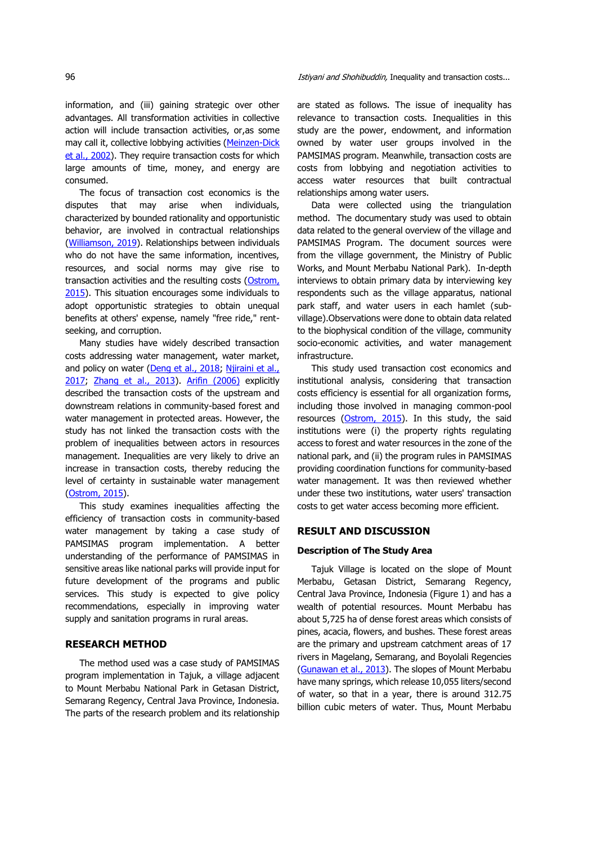information, and (iii) gaining strategic over other advantages. All transformation activities in collective action will include transaction activities, or,as some may call it, collective lobbying activities (Meinzen-Dick [et al., 2002\)](#page-13-5). They require transaction costs for which large amounts of time, money, and energy are consumed.

The focus of transaction cost economics is the disputes that may arise when individuals, characterized by bounded rationality and opportunistic behavior, are involved in contractual relationships [\(Williamson, 2019\)](#page-14-9). Relationships between individuals who do not have the same information, incentives, resources, and social norms may give rise to transaction activities and the resulting costs [\(Ostrom,](#page-14-8)  [2015\)](#page-14-8). This situation encourages some individuals to adopt opportunistic strategies to obtain unequal benefits at others' expense, namely "free ride," rentseeking, and corruption.

Many studies have widely described transaction costs addressing water management, water market, and policy on water [\(Deng et al., 2018;](#page-13-6) Nijraini et al., [2017;](#page-13-7) [Zhang et al., 2013\)](#page-14-10). [Arifin \(2006\)](#page-12-5) explicitly described the transaction costs of the upstream and downstream relations in community-based forest and water management in protected areas. However, the study has not linked the transaction costs with the problem of inequalities between actors in resources management. Inequalities are very likely to drive an increase in transaction costs, thereby reducing the level of certainty in sustainable water management [\(Ostrom, 2015\)](#page-14-8).

This study examines inequalities affecting the efficiency of transaction costs in community-based water management by taking a case study of PAMSIMAS program implementation. A better understanding of the performance of PAMSIMAS in sensitive areas like national parks will provide input for future development of the programs and public services. This study is expected to give policy recommendations, especially in improving water supply and sanitation programs in rural areas.

# **RESEARCH METHOD**

The method used was a case study of PAMSIMAS program implementation in Tajuk, a village adjacent to Mount Merbabu National Park in Getasan District, Semarang Regency, Central Java Province, Indonesia. The parts of the research problem and its relationship are stated as follows. The issue of inequality has relevance to transaction costs. Inequalities in this study are the power, endowment, and information owned by water user groups involved in the PAMSIMAS program. Meanwhile, transaction costs are costs from lobbying and negotiation activities to access water resources that built contractual relationships among water users.

Data were collected using the triangulation method. The documentary study was used to obtain data related to the general overview of the village and PAMSIMAS Program. The document sources were from the village government, the Ministry of Public Works, and Mount Merbabu National Park). In-depth interviews to obtain primary data by interviewing key respondents such as the village apparatus, national park staff, and water users in each hamlet (subvillage).Observations were done to obtain data related to the biophysical condition of the village, community socio-economic activities, and water management infrastructure.

This study used transaction cost economics and institutional analysis, considering that transaction costs efficiency is essential for all organization forms, including those involved in managing common-pool resources  $(Ostrom, 2015)$ . In this study, the said institutions were (i) the property rights regulating access to forest and water resources in the zone of the national park, and (ii) the program rules in PAMSIMAS providing coordination functions for community-based water management. It was then reviewed whether under these two institutions, water users' transaction costs to get water access becoming more efficient.

## **RESULT AND DISCUSSION**

#### **Description of The Study Area**

Tajuk Village is located on the slope of Mount Merbabu, Getasan District, Semarang Regency, Central Java Province, Indonesia (Figure 1) and has a wealth of potential resources. Mount Merbabu has about 5,725 ha of dense forest areas which consists of pines, acacia, flowers, and bushes. These forest areas are the primary and upstream catchment areas of 17 rivers in Magelang, Semarang, and Boyolali Regencies [\(Gunawan et al., 2013\)](#page-13-8). The slopes of Mount Merbabu have many springs, which release 10,055 liters/second of water, so that in a year, there is around 312.75 billion cubic meters of water. Thus, Mount Merbabu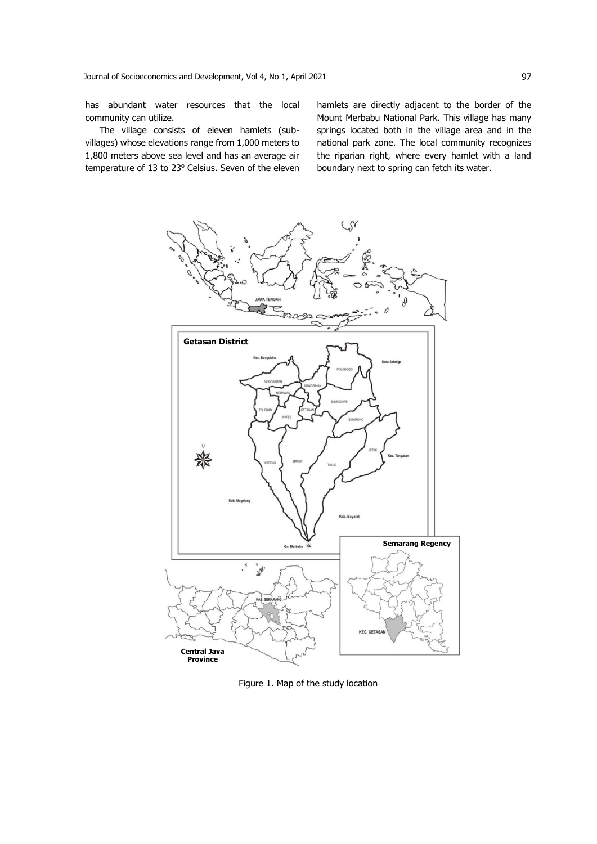has abundant water resources that the local community can utilize.

The village consists of eleven hamlets (subvillages) whose elevations range from 1,000 meters to 1,800 meters above sea level and has an average air temperature of 13 to 23° Celsius. Seven of the eleven hamlets are directly adjacent to the border of the Mount Merbabu National Park. This village has many springs located both in the village area and in the national park zone. The local community recognizes the riparian right, where every hamlet with a land boundary next to spring can fetch its water.



Figure 1. Map of the study location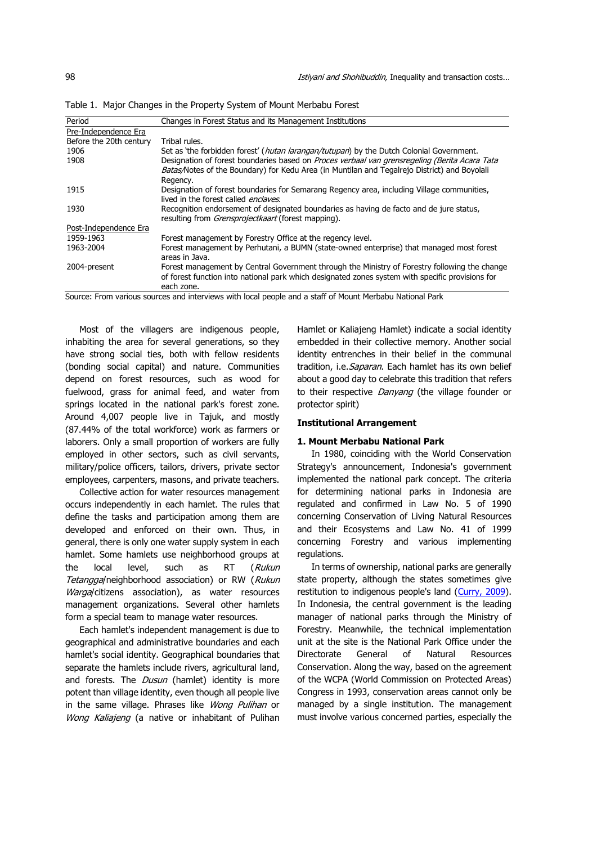|  | Table 1. Major Changes in the Property System of Mount Merbabu Forest |  |  |  |  |
|--|-----------------------------------------------------------------------|--|--|--|--|
|  |                                                                       |  |  |  |  |

| Period                  | Changes in Forest Status and its Management Institutions                                                                                                                                                        |
|-------------------------|-----------------------------------------------------------------------------------------------------------------------------------------------------------------------------------------------------------------|
|                         |                                                                                                                                                                                                                 |
| Pre-Independence Era    |                                                                                                                                                                                                                 |
| Before the 20th century | Tribal rules.                                                                                                                                                                                                   |
| 1906                    | Set as 'the forbidden forest' ( <i>hutan larangan/tutupan</i> ) by the Dutch Colonial Government.                                                                                                               |
| 1908                    | Designation of forest boundaries based on Proces verbaal van grensregeling (Berita Acara Tata<br>Batas/Notes of the Boundary) for Kedu Area (in Muntilan and Tegalrejo District) and Boyolali<br>Regency.       |
| 1915                    | Designation of forest boundaries for Semarang Regency area, including Village communities,<br>lived in the forest called <i>enclaves</i> .                                                                      |
| 1930                    | Recognition endorsement of designated boundaries as having de facto and de jure status,<br>resulting from Grensprojectkaart (forest mapping).                                                                   |
| Post-Independence Era   |                                                                                                                                                                                                                 |
| 1959-1963               | Forest management by Forestry Office at the regency level.                                                                                                                                                      |
| 1963-2004               | Forest management by Perhutani, a BUMN (state-owned enterprise) that managed most forest<br>areas in Java.                                                                                                      |
| 2004-present            | Forest management by Central Government through the Ministry of Forestry following the change<br>of forest function into national park which designated zones system with specific provisions for<br>each zone. |

Source: From various sources and interviews with local people and a staff of Mount Merbabu National Park

Most of the villagers are indigenous people, inhabiting the area for several generations, so they have strong social ties, both with fellow residents (bonding social capital) and nature. Communities depend on forest resources, such as wood for fuelwood, grass for animal feed, and water from springs located in the national park's forest zone. Around 4,007 people live in Tajuk, and mostly (87.44% of the total workforce) work as farmers or laborers. Only a small proportion of workers are fully employed in other sectors, such as civil servants, military/police officers, tailors, drivers, private sector employees, carpenters, masons, and private teachers.

Collective action for water resources management occurs independently in each hamlet. The rules that define the tasks and participation among them are developed and enforced on their own. Thus, in general, there is only one water supply system in each hamlet. Some hamlets use neighborhood groups at the local level, such as RT (Rukun Tetangga/neighborhood association) or RW (Rukun Warga/citizens association), as water resources management organizations. Several other hamlets form a special team to manage water resources.

Each hamlet's independent management is due to geographical and administrative boundaries and each hamlet's social identity. Geographical boundaries that separate the hamlets include rivers, agricultural land, and forests. The *Dusun* (hamlet) identity is more potent than village identity, even though all people live in the same village. Phrases like Wong Pulihan or Wong Kaliajeng (a native or inhabitant of Pulihan

Hamlet or Kaliajeng Hamlet) indicate a social identity embedded in their collective memory. Another social identity entrenches in their belief in the communal tradition, i.e. Saparan. Each hamlet has its own belief about a good day to celebrate this tradition that refers to their respective *Danyang* (the village founder or protector spirit)

## **Institutional Arrangement**

#### **1. Mount Merbabu National Park**

In 1980, coinciding with the World Conservation Strategy's announcement, Indonesia's government implemented the national park concept. The criteria for determining national parks in Indonesia are regulated and confirmed in Law No. 5 of 1990 concerning Conservation of Living Natural Resources and their Ecosystems and Law No. 41 of 1999 concerning Forestry and various implementing regulations.

In terms of ownership, national parks are generally state property, although the states sometimes give restitution to indigenous people's land [\(Curry, 2009\)](#page-12-6). In Indonesia, the central government is the leading manager of national parks through the Ministry of Forestry. Meanwhile, the technical implementation unit at the site is the National Park Office under the Directorate General of Natural Resources Conservation. Along the way, based on the agreement of the WCPA (World Commission on Protected Areas) Congress in 1993, conservation areas cannot only be managed by a single institution. The management must involve various concerned parties, especially the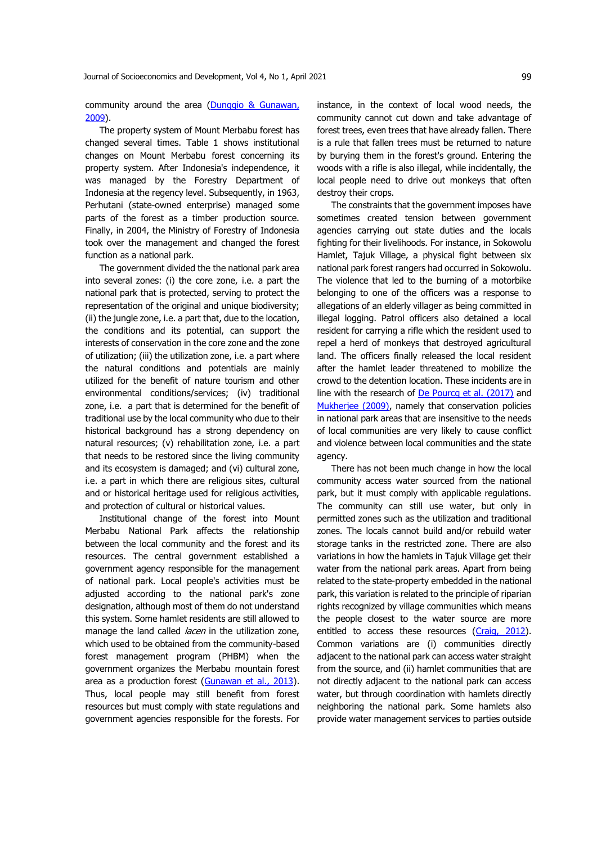community around the area [\(Dunggio & Gunawan,](#page-13-9)  [2009\)](#page-13-9).

The property system of Mount Merbabu forest has changed several times. Table 1 shows institutional changes on Mount Merbabu forest concerning its property system. After Indonesia's independence, it was managed by the Forestry Department of Indonesia at the regency level. Subsequently, in 1963, Perhutani (state-owned enterprise) managed some parts of the forest as a timber production source. Finally, in 2004, the Ministry of Forestry of Indonesia took over the management and changed the forest function as a national park.

The government divided the the national park area into several zones: (i) the core zone, i.e. a part the national park that is protected, serving to protect the representation of the original and unique biodiversity; (ii) the jungle zone, i.e. a part that, due to the location, the conditions and its potential, can support the interests of conservation in the core zone and the zone of utilization; (iii) the utilization zone, i.e. a part where the natural conditions and potentials are mainly utilized for the benefit of nature tourism and other environmental conditions/services; (iv) traditional zone, i.e. a part that is determined for the benefit of traditional use by the local community who due to their historical background has a strong dependency on natural resources; (v) rehabilitation zone, i.e. a part that needs to be restored since the living community and its ecosystem is damaged; and (vi) cultural zone, i.e. a part in which there are religious sites, cultural and or historical heritage used for religious activities, and protection of cultural or historical values.

Institutional change of the forest into Mount Merbabu National Park affects the relationship between the local community and the forest and its resources. The central government established a government agency responsible for the management of national park. Local people's activities must be adjusted according to the national park's zone designation, although most of them do not understand this system. Some hamlet residents are still allowed to manage the land called *lacen* in the utilization zone, which used to be obtained from the community-based forest management program (PHBM) when the government organizes the Merbabu mountain forest area as a production forest [\(Gunawan et al., 2013\)](#page-13-8). Thus, local people may still benefit from forest resources but must comply with state regulations and government agencies responsible for the forests. For instance, in the context of local wood needs, the community cannot cut down and take advantage of forest trees, even trees that have already fallen. There is a rule that fallen trees must be returned to nature by burying them in the forest's ground. Entering the woods with a rifle is also illegal, while incidentally, the local people need to drive out monkeys that often destroy their crops.

The constraints that the government imposes have sometimes created tension between government agencies carrying out state duties and the locals fighting for their livelihoods. For instance, in Sokowolu Hamlet, Tajuk Village, a physical fight between six national park forest rangers had occurred in Sokowolu. The violence that led to the burning of a motorbike belonging to one of the officers was a response to allegations of an elderly villager as being committed in illegal logging. Patrol officers also detained a local resident for carrying a rifle which the resident used to repel a herd of monkeys that destroyed agricultural land. The officers finally released the local resident after the hamlet leader threatened to mobilize the crowd to the detention location. These incidents are in line with the research of [De Pourcq et al. \(2017\)](#page-12-2) and [Mukherjee \(2009\),](#page-13-1) namely that conservation policies in national park areas that are insensitive to the needs of local communities are very likely to cause conflict and violence between local communities and the state agency.

There has not been much change in how the local community access water sourced from the national park, but it must comply with applicable regulations. The community can still use water, but only in permitted zones such as the utilization and traditional zones. The locals cannot build and/or rebuild water storage tanks in the restricted zone. There are also variations in how the hamlets in Tajuk Village get their water from the national park areas. Apart from being related to the state-property embedded in the national park, this variation is related to the principle of riparian rights recognized by village communities which means the people closest to the water source are more entitled to access these resources [\(Craig, 2012\)](#page-12-7). Common variations are (i) communities directly adjacent to the national park can access water straight from the source, and (ii) hamlet communities that are not directly adjacent to the national park can access water, but through coordination with hamlets directly neighboring the national park. Some hamlets also provide water management services to parties outside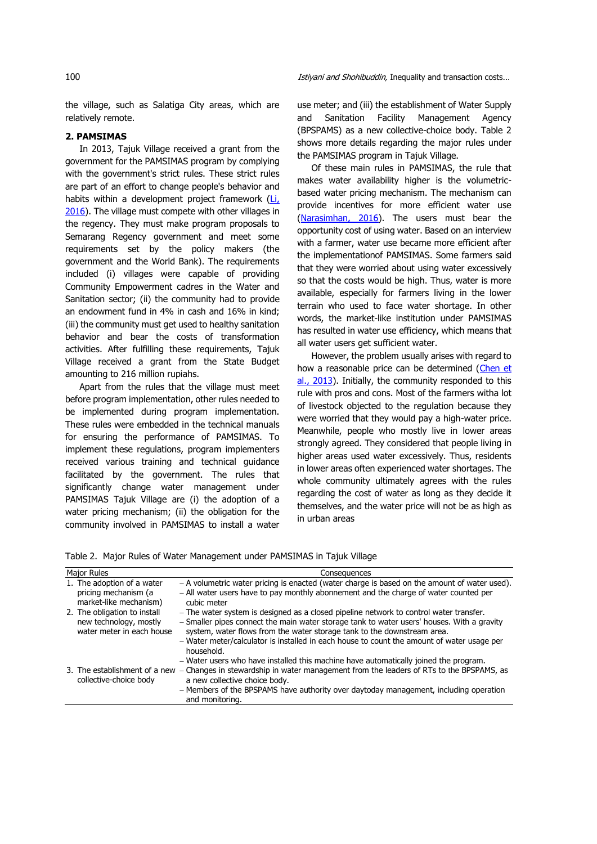the village, such as Salatiga City areas, which are relatively remote.

# **2. PAMSIMAS**

In 2013, Tajuk Village received a grant from the government for the PAMSIMAS program by complying with the government's strict rules. These strict rules are part of an effort to change people's behavior and habits within a development project framework  $(Li)$ [2016\)](#page-13-10). The village must compete with other villages in the regency. They must make program proposals to Semarang Regency government and meet some requirements set by the policy makers (the government and the World Bank). The requirements included (i) villages were capable of providing Community Empowerment cadres in the Water and Sanitation sector; (ii) the community had to provide an endowment fund in 4% in cash and 16% in kind; (iii) the community must get used to healthy sanitation behavior and bear the costs of transformation activities. After fulfilling these requirements, Tajuk Village received a grant from the State Budget amounting to 216 million rupiahs.

Apart from the rules that the village must meet before program implementation, other rules needed to be implemented during program implementation. These rules were embedded in the technical manuals for ensuring the performance of PAMSIMAS. To implement these regulations, program implementers received various training and technical guidance facilitated by the government. The rules that significantly change water management under PAMSIMAS Tajuk Village are (i) the adoption of a water pricing mechanism; (ii) the obligation for the community involved in PAMSIMAS to install a water

use meter; and (iii) the establishment of Water Supply and Sanitation Facility Management Agency (BPSPAMS) as a new collective-choice body. Table 2 shows more details regarding the major rules under the PAMSIMAS program in Tajuk Village.

Of these main rules in PAMSIMAS, the rule that makes water availability higher is the volumetricbased water pricing mechanism. The mechanism can provide incentives for more efficient water use [\(Narasimhan, 2016\)](#page-13-11). The users must bear the opportunity cost of using water. Based on an interview with a farmer, water use became more efficient after the implementationof PAMSIMAS. Some farmers said that they were worried about using water excessively so that the costs would be high. Thus, water is more available, especially for farmers living in the lower terrain who used to face water shortage. In other words, the market-like institution under PAMSIMAS has resulted in water use efficiency, which means that all water users get sufficient water.

However, the problem usually arises with regard to how a reasonable price can be determined [\(Chen et](#page-12-8)  [al., 2013\)](#page-12-8). Initially, the community responded to this rule with pros and cons. Most of the farmers witha lot of livestock objected to the regulation because they were worried that they would pay a high-water price. Meanwhile, people who mostly live in lower areas strongly agreed. They considered that people living in higher areas used water excessively. Thus, residents in lower areas often experienced water shortages. The whole community ultimately agrees with the rules regarding the cost of water as long as they decide it themselves, and the water price will not be as high as in urban areas

| Major Rules                                                                         | Consequences                                                                                                                                                                                                                                                                                                                                                                |
|-------------------------------------------------------------------------------------|-----------------------------------------------------------------------------------------------------------------------------------------------------------------------------------------------------------------------------------------------------------------------------------------------------------------------------------------------------------------------------|
| 1. The adoption of a water<br>pricing mechanism (a<br>market-like mechanism)        | - A volumetric water pricing is enacted (water charge is based on the amount of water used).<br>- All water users have to pay monthly abonnement and the charge of water counted per<br>cubic meter                                                                                                                                                                         |
| 2. The obligation to install<br>new technology, mostly<br>water meter in each house | - The water system is designed as a closed pipeline network to control water transfer.<br>- Smaller pipes connect the main water storage tank to water users' houses. With a gravity<br>system, water flows from the water storage tank to the downstream area.<br>- Water meter/calculator is installed in each house to count the amount of water usage per<br>household. |
| collective-choice body                                                              | - Water users who have installed this machine have automatically joined the program.<br>3. The establishment of a new – Changes in stewardship in water management from the leaders of RTs to the BPSPAMS, as<br>a new collective choice body.<br>- Members of the BPSPAMS have authority over daytoday management, including operation<br>and monitoring.                  |

Table 2. Major Rules of Water Management under PAMSIMAS in Tajuk Village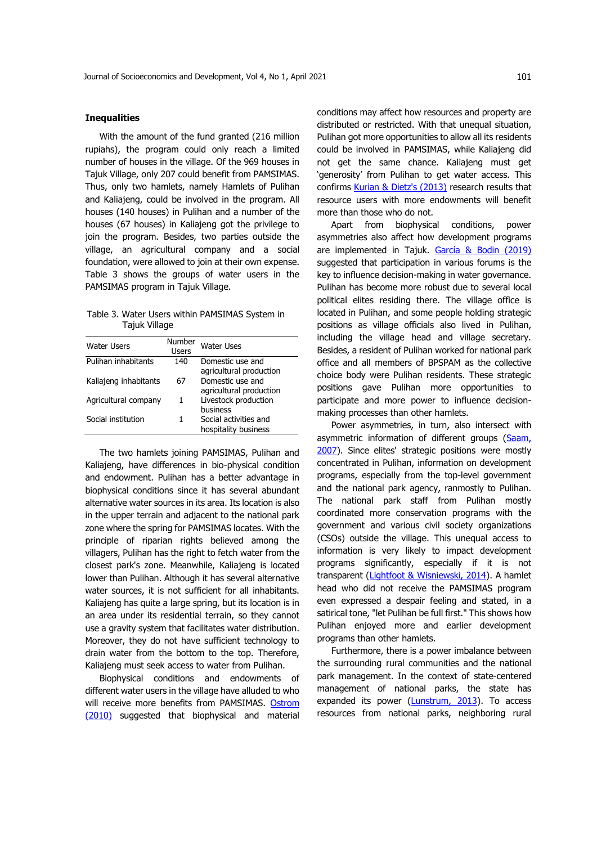# **Inequalities**

With the amount of the fund granted (216 million rupiahs), the program could only reach a limited number of houses in the village. Of the 969 houses in Tajuk Village, only 207 could benefit from PAMSIMAS. Thus, only two hamlets, namely Hamlets of Pulihan and Kaliajeng, could be involved in the program. All houses (140 houses) in Pulihan and a number of the houses (67 houses) in Kaliajeng got the privilege to join the program. Besides, two parties outside the village, an agricultural company and a social foundation, were allowed to join at their own expense. Table 3 shows the groups of water users in the PAMSIMAS program in Tajuk Village.

Table 3. Water Users within PAMSIMAS System in Tajuk Village

| Water Users           | Number<br><b>Users</b> | Water Uses              |
|-----------------------|------------------------|-------------------------|
| Pulihan inhabitants   | 140                    | Domestic use and        |
|                       |                        | agricultural production |
| Kaliajeng inhabitants | 67                     | Domestic use and        |
|                       |                        | agricultural production |
| Agricultural company  | 1                      | Livestock production    |
|                       |                        | <b>business</b>         |
| Social institution    |                        | Social activities and   |
|                       |                        | hospitality business    |

The two hamlets joining PAMSIMAS, Pulihan and Kaliajeng, have differences in bio-physical condition and endowment. Pulihan has a better advantage in biophysical conditions since it has several abundant alternative water sources in its area. Its location is also in the upper terrain and adjacent to the national park zone where the spring for PAMSIMAS locates. With the principle of riparian rights believed among the villagers, Pulihan has the right to fetch water from the closest park's zone. Meanwhile, Kaliajeng is located lower than Pulihan. Although it has several alternative water sources, it is not sufficient for all inhabitants. Kaliajeng has quite a large spring, but its location is in an area under its residential terrain, so they cannot use a gravity system that facilitates water distribution. Moreover, they do not have sufficient technology to drain water from the bottom to the top. Therefore, Kaliajeng must seek access to water from Pulihan.

Biophysical conditions and endowments of different water users in the village have alluded to who will receive more benefits from PAMSIMAS. Ostrom [\(2010\)](#page-14-11) suggested that biophysical and material conditions may affect how resources and property are distributed or restricted. With that unequal situation, Pulihan got more opportunities to allow all its residents could be involved in PAMSIMAS, while Kaliajeng did not get the same chance. Kaliajeng must get 'generosity' from Pulihan to get water access. This confirms [Kurian & Dietz's \(2013\)](#page-13-2) research results that resource users with more endowments will benefit more than those who do not.

Apart from biophysical conditions, power asymmetries also affect how development programs are implemented in Tajuk. [García & Bodin \(2019\)](#page-13-12) suggested that participation in various forums is the key to influence decision-making in water governance. Pulihan has become more robust due to several local political elites residing there. The village office is located in Pulihan, and some people holding strategic positions as village officials also lived in Pulihan, including the village head and village secretary. Besides, a resident of Pulihan worked for national park office and all members of BPSPAM as the collective choice body were Pulihan residents. These strategic positions gave Pulihan more opportunities to participate and more power to influence decisionmaking processes than other hamlets.

Power asymmetries, in turn, also intersect with asymmetric information of different groups [\(Saam,](#page-14-12)  [2007\)](#page-14-12). Since elites' strategic positions were mostly concentrated in Pulihan, information on development programs, especially from the top-level government and the national park agency, ranmostly to Pulihan. The national park staff from Pulihan mostly coordinated more conservation programs with the government and various civil society organizations (CSOs) outside the village. This unequal access to information is very likely to impact development programs significantly, especially if it is not transparent [\(Lightfoot & Wisniewski, 2014\)](#page-13-13). A hamlet head who did not receive the PAMSIMAS program even expressed a despair feeling and stated, in a satirical tone, "let Pulihan be full first." This shows how Pulihan enjoyed more and earlier development programs than other hamlets.

Furthermore, there is a power imbalance between the surrounding rural communities and the national park management. In the context of state-centered management of national parks, the state has expanded its power [\(Lunstrum, 2013\)](#page-13-14). To access resources from national parks, neighboring rural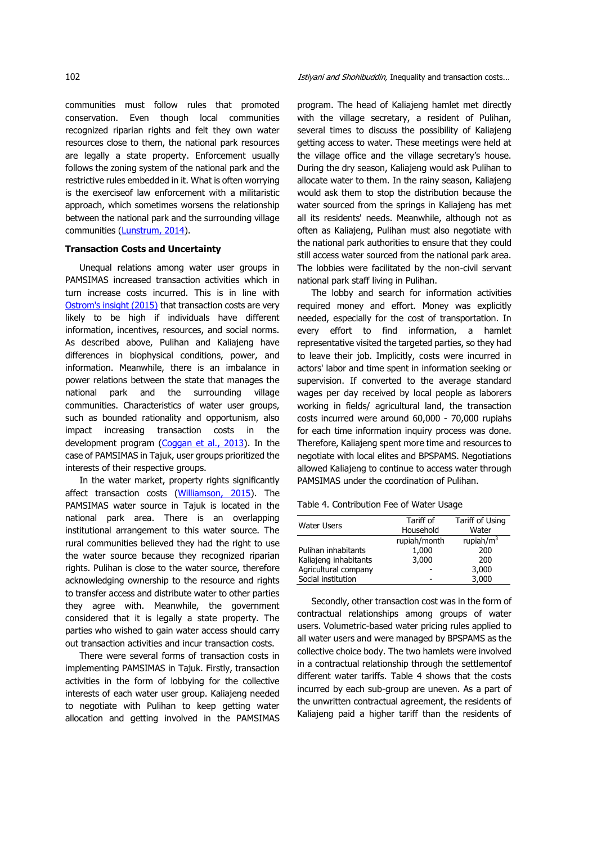communities must follow rules that promoted conservation. Even though local communities recognized riparian rights and felt they own water resources close to them, the national park resources are legally a state property. Enforcement usually follows the zoning system of the national park and the restrictive rules embedded in it. What is often worrying is the exerciseof law enforcement with a militaristic approach, which sometimes worsens the relationship between the national park and the surrounding village communities [\(Lunstrum, 2014\)](#page-13-15).

## **Transaction Costs and Uncertainty**

Unequal relations among water user groups in PAMSIMAS increased transaction activities which in turn increase costs incurred. This is in line with [Ostrom's insight \(2015\)](#page-14-8) that transaction costs are very likely to be high if individuals have different information, incentives, resources, and social norms. As described above, Pulihan and Kaliajeng have differences in biophysical conditions, power, and information. Meanwhile, there is an imbalance in power relations between the state that manages the national park and the surrounding village communities. Characteristics of water user groups, such as bounded rationality and opportunism, also impact increasing transaction costs in the development program [\(Coggan et al., 2013\)](#page-12-9). In the case of PAMSIMAS in Tajuk, user groups prioritized the interests of their respective groups.

In the water market, property rights significantly affect transaction costs [\(Williamson, 2015\)](#page-14-13). The PAMSIMAS water source in Tajuk is located in the national park area. There is an overlapping institutional arrangement to this water source. The rural communities believed they had the right to use the water source because they recognized riparian rights. Pulihan is close to the water source, therefore acknowledging ownership to the resource and rights to transfer access and distribute water to other parties they agree with. Meanwhile, the government considered that it is legally a state property. The parties who wished to gain water access should carry out transaction activities and incur transaction costs.

There were several forms of transaction costs in implementing PAMSIMAS in Tajuk. Firstly, transaction activities in the form of lobbying for the collective interests of each water user group. Kaliajeng needed to negotiate with Pulihan to keep getting water allocation and getting involved in the PAMSIMAS

program. The head of Kaliajeng hamlet met directly with the village secretary, a resident of Pulihan, several times to discuss the possibility of Kaliajeng getting access to water. These meetings were held at the village office and the village secretary's house. During the dry season, Kaliajeng would ask Pulihan to allocate water to them. In the rainy season, Kaliajeng would ask them to stop the distribution because the water sourced from the springs in Kaliajeng has met all its residents' needs. Meanwhile, although not as often as Kaliajeng, Pulihan must also negotiate with the national park authorities to ensure that they could still access water sourced from the national park area. The lobbies were facilitated by the non-civil servant national park staff living in Pulihan.

The lobby and search for information activities required money and effort. Money was explicitly needed, especially for the cost of transportation. In every effort to find information, a hamlet representative visited the targeted parties, so they had to leave their job. Implicitly, costs were incurred in actors' labor and time spent in information seeking or supervision. If converted to the average standard wages per day received by local people as laborers working in fields/ agricultural land, the transaction costs incurred were around 60,000 - 70,000 rupiahs for each time information inquiry process was done. Therefore, Kaliajeng spent more time and resources to negotiate with local elites and BPSPAMS. Negotiations allowed Kaliajeng to continue to access water through PAMSIMAS under the coordination of Pulihan.

|  |  | Table 4. Contribution Fee of Water Usage |  |  |  |
|--|--|------------------------------------------|--|--|--|
|--|--|------------------------------------------|--|--|--|

| <b>Water Users</b>    | Tariff of    | Tariff of Using |  |  |
|-----------------------|--------------|-----------------|--|--|
|                       | Household    | Water           |  |  |
|                       | rupiah/month | rupiah/ $m3$    |  |  |
| Pulihan inhabitants   | 1,000        | 200             |  |  |
| Kaliajeng inhabitants | 3,000        | 200             |  |  |
| Agricultural company  |              | 3,000           |  |  |
| Social institution    |              | 3,000           |  |  |

Secondly, other transaction cost was in the form of contractual relationships among groups of water users. Volumetric-based water pricing rules applied to all water users and were managed by BPSPAMS as the collective choice body. The two hamlets were involved in a contractual relationship through the settlementof different water tariffs. Table 4 shows that the costs incurred by each sub-group are uneven. As a part of the unwritten contractual agreement, the residents of Kaliajeng paid a higher tariff than the residents of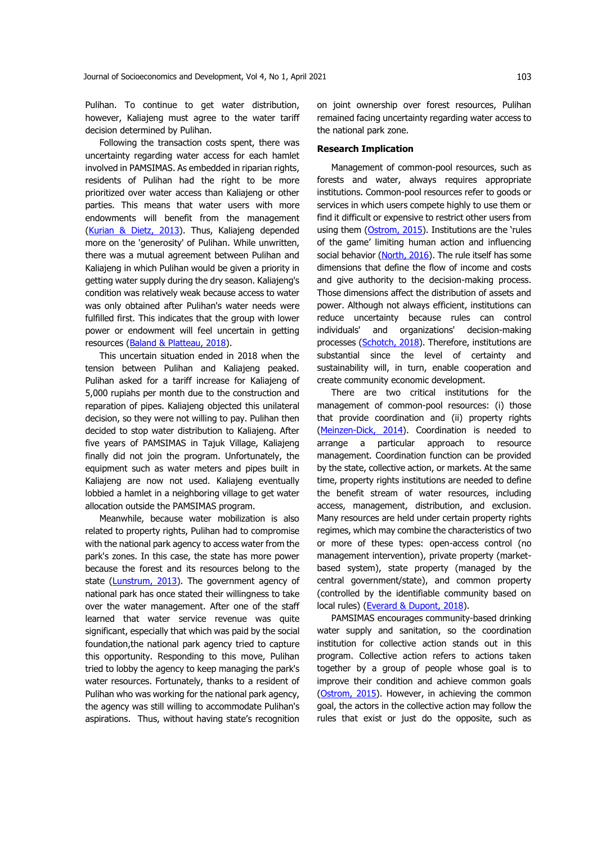Pulihan. To continue to get water distribution, however, Kaliajeng must agree to the water tariff decision determined by Pulihan.

Following the transaction costs spent, there was uncertainty regarding water access for each hamlet involved in PAMSIMAS. As embedded in riparian rights, residents of Pulihan had the right to be more prioritized over water access than Kaliajeng or other parties. This means that water users with more endowments will benefit from the management [\(Kurian & Dietz, 2013\)](#page-13-2). Thus, Kaliajeng depended more on the 'generosity' of Pulihan. While unwritten, there was a mutual agreement between Pulihan and Kaliajeng in which Pulihan would be given a priority in getting water supply during the dry season. Kaliajeng's condition was relatively weak because access to water was only obtained after Pulihan's water needs were fulfilled first. This indicates that the group with lower power or endowment will feel uncertain in getting resources [\(Baland & Platteau, 2018\)](#page-12-4).

This uncertain situation ended in 2018 when the tension between Pulihan and Kaliajeng peaked. Pulihan asked for a tariff increase for Kaliajeng of 5,000 rupiahs per month due to the construction and reparation of pipes. Kaliajeng objected this unilateral decision, so they were not willing to pay. Pulihan then decided to stop water distribution to Kaliajeng. After five years of PAMSIMAS in Tajuk Village, Kaliajeng finally did not join the program. Unfortunately, the equipment such as water meters and pipes built in Kaliajeng are now not used. Kaliajeng eventually lobbied a hamlet in a neighboring village to get water allocation outside the PAMSIMAS program.

Meanwhile, because water mobilization is also related to property rights, Pulihan had to compromise with the national park agency to access water from the park's zones. In this case, the state has more power because the forest and its resources belong to the state [\(Lunstrum, 2013\)](#page-13-14). The government agency of national park has once stated their willingness to take over the water management. After one of the staff learned that water service revenue was quite significant, especially that which was paid by the social foundation,the national park agency tried to capture this opportunity. Responding to this move, Pulihan tried to lobby the agency to keep managing the park's water resources. Fortunately, thanks to a resident of Pulihan who was working for the national park agency, the agency was still willing to accommodate Pulihan's aspirations. Thus, without having state's recognition on joint ownership over forest resources, Pulihan remained facing uncertainty regarding water access to the national park zone.

### **Research Implication**

Management of common-pool resources, such as forests and water, always requires appropriate institutions. Common-pool resources refer to goods or services in which users compete highly to use them or find it difficult or expensive to restrict other users from using them [\(Ostrom, 2015\)](#page-14-8). Institutions are the 'rules of the game' limiting human action and influencing social behavior [\(North, 2016\)](#page-13-16). The rule itself has some dimensions that define the flow of income and costs and give authority to the decision-making process. Those dimensions affect the distribution of assets and power. Although not always efficient, institutions can reduce uncertainty because rules can control individuals' and organizations' decision-making processes [\(Schotch, 2018\)](#page-14-14). Therefore, institutions are substantial since the level of certainty and sustainability will, in turn, enable cooperation and create community economic development.

There are two critical institutions for the management of common-pool resources: (i) those that provide coordination and (ii) property rights [\(Meinzen-Dick, 2014\)](#page-13-17). Coordination is needed to arrange a particular approach to resource management. Coordination function can be provided by the state, collective action, or markets. At the same time, property rights institutions are needed to define the benefit stream of water resources, including access, management, distribution, and exclusion. Many resources are held under certain property rights regimes, which may combine the characteristics of two or more of these types: open-access control (no management intervention), private property (marketbased system), state property (managed by the central government/state), and common property (controlled by the identifiable community based on local rules) [\(Everard & Dupont, 2018\)](#page-13-18).

PAMSIMAS encourages community-based drinking water supply and sanitation, so the coordination institution for collective action stands out in this program. Collective action refers to actions taken together by a group of people whose goal is to improve their condition and achieve common goals [\(Ostrom, 2015\)](#page-14-8). However, in achieving the common goal, the actors in the collective action may follow the rules that exist or just do the opposite, such as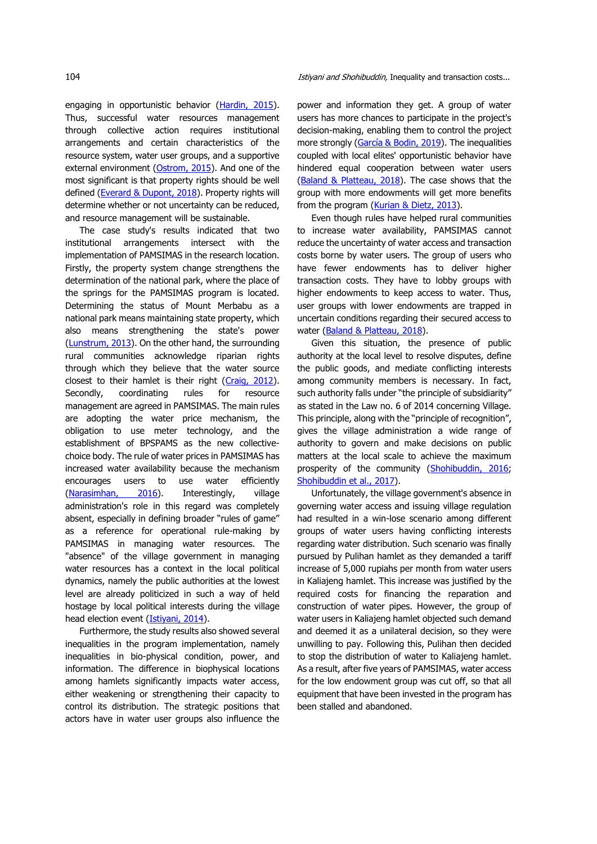engaging in opportunistic behavior [\(Hardin, 2015\)](#page-13-19). Thus, successful water resources management through collective action requires institutional arrangements and certain characteristics of the resource system, water user groups, and a supportive external environment [\(Ostrom, 2015\)](#page-14-8). And one of the most significant is that property rights should be well defined [\(Everard & Dupont, 2018\)](#page-13-18). Property rights will determine whether or not uncertainty can be reduced, and resource management will be sustainable.

The case study's results indicated that two institutional arrangements intersect with the implementation of PAMSIMAS in the research location. Firstly, the property system change strengthens the determination of the national park, where the place of the springs for the PAMSIMAS program is located. Determining the status of Mount Merbabu as a national park means maintaining state property, which also means strengthening the state's power [\(Lunstrum, 2013\)](#page-13-14). On the other hand, the surrounding rural communities acknowledge riparian rights through which they believe that the water source closest to their hamlet is their right [\(Craig, 2012\)](#page-12-7). Secondly, coordinating rules for resource management are agreed in PAMSIMAS. The main rules are adopting the water price mechanism, the obligation to use meter technology, and the establishment of BPSPAMS as the new collectivechoice body. The rule of water prices in PAMSIMAS has increased water availability because the mechanism encourages users to use water efficiently [\(Narasimhan, 2016\)](#page-13-11). Interestingly, village administration's role in this regard was completely absent, especially in defining broader "rules of game" as a reference for operational rule-making by PAMSIMAS in managing water resources. The "absence" of the village government in managing water resources has a context in the local political dynamics, namely the public authorities at the lowest level are already politicized in such a way of held hostage by local political interests during the village head election event [\(Istiyani, 2014\)](#page-13-2).

Furthermore, the study results also showed several inequalities in the program implementation, namely inequalities in bio-physical condition, power, and information. The difference in biophysical locations among hamlets significantly impacts water access, either weakening or strengthening their capacity to control its distribution. The strategic positions that actors have in water user groups also influence the power and information they get. A group of water users has more chances to participate in the project's decision-making, enabling them to control the project more strongly [\(García & Bodin, 2019\)](#page-13-12). The inequalities coupled with local elites' opportunistic behavior have hindered equal cooperation between water users [\(Baland & Platteau, 2018\)](#page-12-4). The case shows that the group with more endowments will get more benefits from the program [\(Kurian & Dietz, 2013\)](#page-13-2).

Even though rules have helped rural communities to increase water availability, PAMSIMAS cannot reduce the uncertainty of water access and transaction costs borne by water users. The group of users who have fewer endowments has to deliver higher transaction costs. They have to lobby groups with higher endowments to keep access to water. Thus, user groups with lower endowments are trapped in uncertain conditions regarding their secured access to water [\(Baland & Platteau, 2018\)](#page-12-4).

Given this situation, the presence of public authority at the local level to resolve disputes, define the public goods, and mediate conflicting interests among community members is necessary. In fact, such authority falls under "the principle of subsidiarity" as stated in the Law no. 6 of 2014 concerning Village. This principle, along with the "principle of recognition", gives the village administration a wide range of authority to govern and make decisions on public matters at the local scale to achieve the maximum prosperity of the community [\(Shohibuddin, 2016;](#page-14-15) [Shohibuddin et al., 2017\)](#page-14-16).

Unfortunately, the village government's absence in governing water access and issuing village regulation had resulted in a win-lose scenario among different groups of water users having conflicting interests regarding water distribution. Such scenario was finally pursued by Pulihan hamlet as they demanded a tariff increase of 5,000 rupiahs per month from water users in Kaliajeng hamlet. This increase was justified by the required costs for financing the reparation and construction of water pipes. However, the group of water users in Kaliajeng hamlet objected such demand and deemed it as a unilateral decision, so they were unwilling to pay. Following this, Pulihan then decided to stop the distribution of water to Kaliajeng hamlet. As a result, after five years of PAMSIMAS, water access for the low endowment group was cut off, so that all equipment that have been invested in the program has been stalled and abandoned.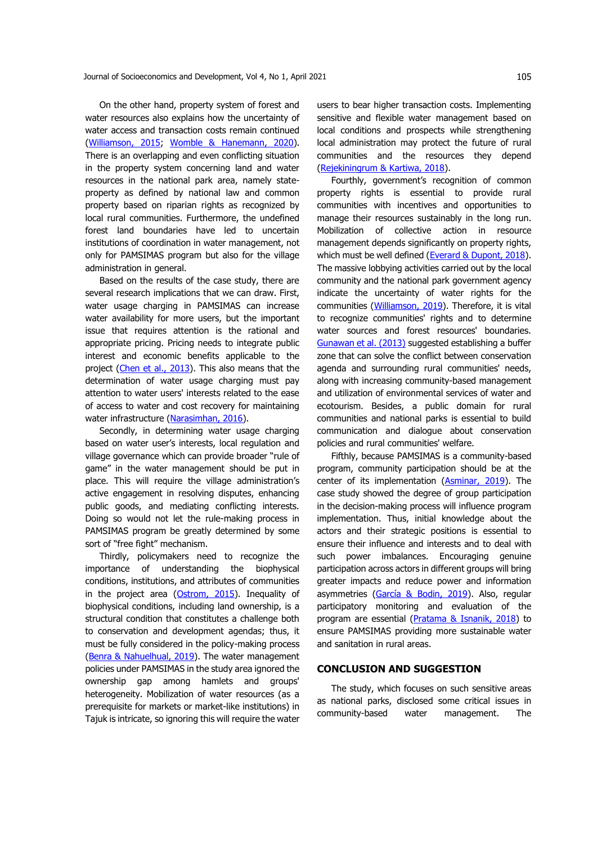On the other hand, property system of forest and water resources also explains how the uncertainty of water access and transaction costs remain continued [\(Williamson, 2015;](#page-14-13) [Womble & Hanemann, 2020\)](#page-14-17). There is an overlapping and even conflicting situation in the property system concerning land and water resources in the national park area, namely stateproperty as defined by national law and common property based on riparian rights as recognized by local rural communities. Furthermore, the undefined forest land boundaries have led to uncertain institutions of coordination in water management, not only for PAMSIMAS program but also for the village administration in general.

Based on the results of the case study, there are several research implications that we can draw. First, water usage charging in PAMSIMAS can increase water availability for more users, but the important issue that requires attention is the rational and appropriate pricing. Pricing needs to integrate public interest and economic benefits applicable to the project [\(Chen et al., 2013\)](#page-12-8). This also means that the determination of water usage charging must pay attention to water users' interests related to the ease of access to water and cost recovery for maintaining water infrastructure [\(Narasimhan, 2016\)](#page-13-11).

Secondly, in determining water usage charging based on water user's interests, local regulation and village governance which can provide broader "rule of game" in the water management should be put in place. This will require the village administration's active engagement in resolving disputes, enhancing public goods, and mediating conflicting interests. Doing so would not let the rule-making process in PAMSIMAS program be greatly determined by some sort of "free fight" mechanism.

Thirdly, policymakers need to recognize the importance of understanding the biophysical conditions, institutions, and attributes of communities in the project area [\(Ostrom, 2015\)](#page-14-8). Inequality of biophysical conditions, including land ownership, is a structural condition that constitutes a challenge both to conservation and development agendas; thus, it must be fully considered in the policy-making process [\(Benra & Nahuelhual, 2019\)](#page-12-10). The water management policies under PAMSIMAS in the study area ignored the ownership gap among hamlets and groups' heterogeneity. Mobilization of water resources (as a prerequisite for markets or market-like institutions) in Tajuk is intricate, so ignoring this will require the water

users to bear higher transaction costs. Implementing sensitive and flexible water management based on local conditions and prospects while strengthening local administration may protect the future of rural communities and the resources they depend [\(Rejekiningrum & Kartiwa, 2018\)](#page-14-18).

Fourthly, government's recognition of common property rights is essential to provide rural communities with incentives and opportunities to manage their resources sustainably in the long run. Mobilization of collective action in resource management depends significantly on property rights, which must be well defined [\(Everard & Dupont, 2018\)](#page-13-18). The massive lobbying activities carried out by the local community and the national park government agency indicate the uncertainty of water rights for the communities [\(Williamson, 2019\)](#page-14-9). Therefore, it is vital to recognize communities' rights and to determine water sources and forest resources' boundaries. [Gunawan et al. \(2013\)](#page-13-8) suggested establishing a buffer zone that can solve the conflict between conservation agenda and surrounding rural communities' needs, along with increasing community-based management and utilization of environmental services of water and ecotourism. Besides, a public domain for rural communities and national parks is essential to build communication and dialogue about conservation policies and rural communities' welfare.

Fifthly, because PAMSIMAS is a community-based program, community participation should be at the center of its implementation [\(Asminar, 2019\)](#page-12-1). The case study showed the degree of group participation in the decision-making process will influence program implementation. Thus, initial knowledge about the actors and their strategic positions is essential to ensure their influence and interests and to deal with such power imbalances. Encouraging genuine participation across actors in different groups will bring greater impacts and reduce power and information asymmetries [\(García & Bodin, 2019\)](#page-13-12). Also, regular participatory monitoring and evaluation of the program are essential [\(Pratama & Isnanik, 2018\)](#page-14-2) to ensure PAMSIMAS providing more sustainable water and sanitation in rural areas.

# **CONCLUSION AND SUGGESTION**

The study, which focuses on such sensitive areas as national parks, disclosed some critical issues in community-based water management. The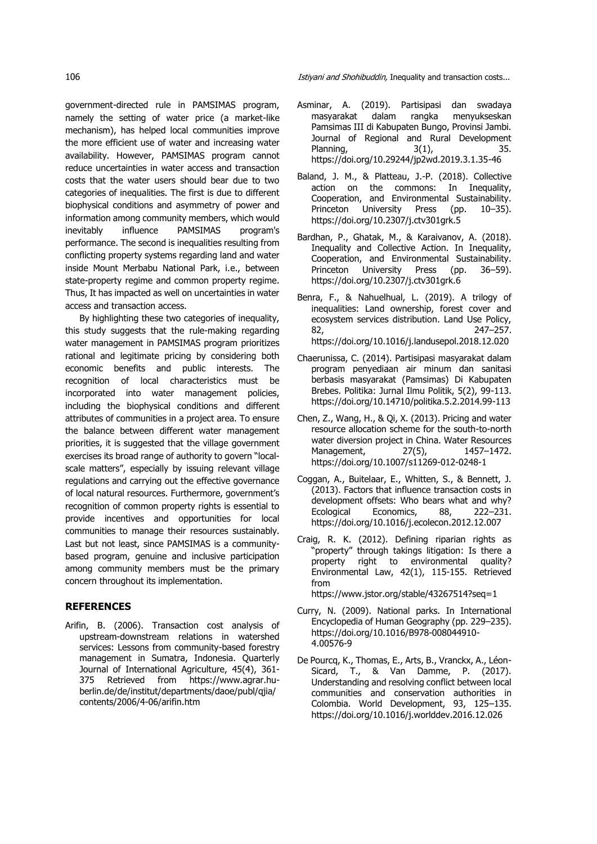government-directed rule in PAMSIMAS program, namely the setting of water price (a market-like mechanism), has helped local communities improve the more efficient use of water and increasing water availability. However, PAMSIMAS program cannot reduce uncertainties in water access and transaction costs that the water users should bear due to two categories of inequalities. The first is due to different biophysical conditions and asymmetry of power and information among community members, which would inevitably influence PAMSIMAS program's performance. The second is inequalities resulting from conflicting property systems regarding land and water inside Mount Merbabu National Park, i.e., between state-property regime and common property regime. Thus, It has impacted as well on uncertainties in water access and transaction access.

By highlighting these two categories of inequality, this study suggests that the rule-making regarding water management in PAMSIMAS program prioritizes rational and legitimate pricing by considering both economic benefits and public interests. The recognition of local characteristics must be incorporated into water management policies, including the biophysical conditions and different attributes of communities in a project area. To ensure the balance between different water management priorities, it is suggested that the village government exercises its broad range of authority to govern "localscale matters", especially by issuing relevant village regulations and carrying out the effective governance of local natural resources. Furthermore, government's recognition of common property rights is essential to provide incentives and opportunities for local communities to manage their resources sustainably. Last but not least, since PAMSIMAS is a communitybased program, genuine and inclusive participation among community members must be the primary concern throughout its implementation.

# **REFERENCES**

<span id="page-12-5"></span>Arifin, B. (2006). Transaction cost analysis of upstream-downstream relations in watershed services: Lessons from community-based forestry management in Sumatra, Indonesia. Quarterly Journal of International Agriculture, 45(4), 361- 375 Retrieved from https://www.agrar.huberlin.de/de/institut/departments/daoe/publ/qjia/ contents/2006/4-06/arifin.htm

106 106 Istiyani and Shohibuddin, Inequality and transaction costs...

- <span id="page-12-1"></span>Asminar, A. (2019). Partisipasi dan swadaya masyarakat dalam rangka menyukseskan Pamsimas III di Kabupaten Bungo, Provinsi Jambi. Journal of Regional and Rural Development Planning, 3(1), 35. https://doi.org/10.29244/jp2wd.2019.3.1.35-46
- <span id="page-12-4"></span>Baland, J. M., & Platteau, J.-P. (2018). Collective action on the commons: In Inequality, Cooperation, and Environmental Sustainability. Princeton University Press (pp. 10–35). https://doi.org/10.2307/j.ctv301grk.5
- <span id="page-12-3"></span>Bardhan, P., Ghatak, M., & Karaivanov, A. (2018). Inequality and Collective Action. In Inequality, Cooperation, and Environmental Sustainability. Princeton University Press (pp. 36–59). https://doi.org/10.2307/j.ctv301grk.6
- <span id="page-12-10"></span>Benra, F., & Nahuelhual, L. (2019). A trilogy of inequalities: Land ownership, forest cover and ecosystem services distribution. Land Use Policy, 82, 247–257. https://doi.org/10.1016/j.landusepol.2018.12.020
- <span id="page-12-0"></span>Chaerunissa, C. (2014). Partisipasi masyarakat dalam program penyediaan air minum dan sanitasi berbasis masyarakat (Pamsimas) Di Kabupaten Brebes. Politika: Jurnal Ilmu Politik, 5(2), 99-113. https://doi.org/10.14710/politika.5.2.2014.99-113
- <span id="page-12-8"></span>Chen, Z., Wang, H., & Qi, X. (2013). Pricing and water resource allocation scheme for the south-to-north water diversion project in China. Water Resources Management, 27(5), 1457-1472. https://doi.org/10.1007/s11269-012-0248-1
- <span id="page-12-9"></span>Coggan, A., Buitelaar, E., Whitten, S., & Bennett, J. (2013). Factors that influence transaction costs in development offsets: Who bears what and why? Ecological Economics, 88, 222–231. https://doi.org/10.1016/j.ecolecon.2012.12.007
- <span id="page-12-7"></span>Craig, R. K. (2012). Defining riparian rights as "property" through takings litigation: Is there a property right to environmental quality? Environmental Law, 42(1), 115-155. Retrieved from

https://www.jstor.org/stable/43267514?seq=1

- <span id="page-12-6"></span>Curry, N. (2009). National parks. In International Encyclopedia of Human Geography (pp. 229–235). https://doi.org/10.1016/B978-008044910- 4.00576-9
- <span id="page-12-2"></span>De Pourcq, K., Thomas, E., Arts, B., Vranckx, A., Léon-Sicard, T., & Van Damme, P. (2017). Understanding and resolving conflict between local communities and conservation authorities in Colombia. World Development, 93, 125–135. https://doi.org/10.1016/j.worlddev.2016.12.026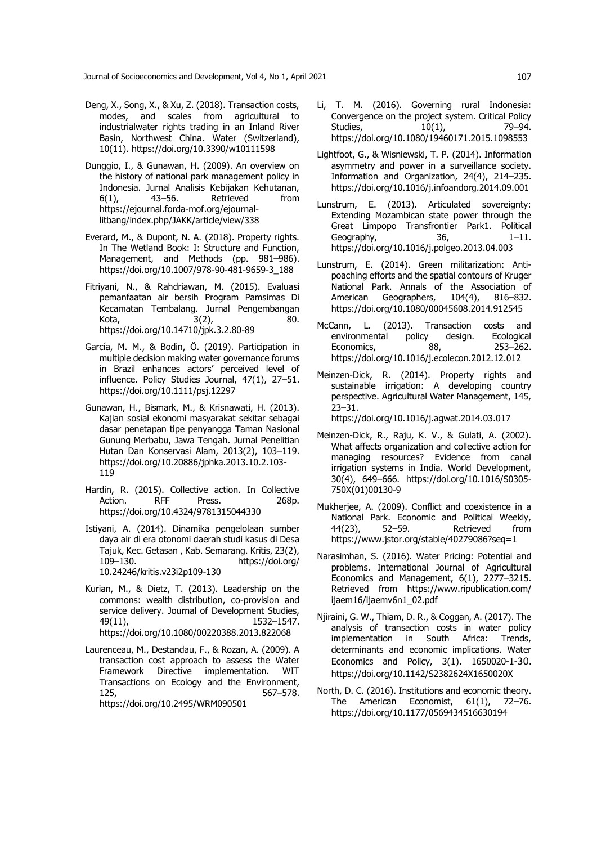- <span id="page-13-6"></span>Deng, X., Song, X., & Xu, Z. (2018). Transaction costs, modes, and scales from agricultural to industrialwater rights trading in an Inland River Basin, Northwest China. Water (Switzerland), 10(11). https://doi.org/10.3390/w10111598
- <span id="page-13-9"></span>Dunggio, I., & Gunawan, H. (2009). An overview on the history of national park management policy in Indonesia. Jurnal Analisis Kebijakan Kehutanan, 6(1), 43–56. Retrieved from https://ejournal.forda-mof.org/ejournallitbang/index.php/JAKK/article/view/338
- <span id="page-13-18"></span>Everard, M., & Dupont, N. A. (2018). Property rights. In The Wetland Book: I: Structure and Function, Management, and Methods (pp. 981–986). https://doi.org/10.1007/978-90-481-9659-3\_188
- <span id="page-13-0"></span>Fitriyani, N., & Rahdriawan, M. (2015). Evaluasi pemanfaatan air bersih Program Pamsimas Di Kecamatan Tembalang. Jurnal Pengembangan Kota, 3(2), 80. https://doi.org/10.14710/jpk.3.2.80-89
- <span id="page-13-12"></span>García, M. M., & Bodin, Ö. (2019). Participation in multiple decision making water governance forums in Brazil enhances actors' perceived level of influence. Policy Studies Journal, 47(1), 27–51. https://doi.org/10.1111/psj.12297
- <span id="page-13-8"></span>Gunawan, H., Bismark, M., & Krisnawati, H. (2013). Kajian sosial ekonomi masyarakat sekitar sebagai dasar penetapan tipe penyangga Taman Nasional Gunung Merbabu, Jawa Tengah. Jurnal Penelitian Hutan Dan Konservasi Alam, 2013(2), 103–119. https://doi.org/10.20886/jphka.2013.10.2.103- 119
- <span id="page-13-19"></span>Hardin, R. (2015). Collective action. In Collective Action. RFF Press. 268p. https://doi.org/10.4324/9781315044330
- <span id="page-13-2"></span>Istiyani, A. (2014). Dinamika pengelolaan sumber daya air di era otonomi daerah studi kasus di Desa Tajuk, Kec. Getasan , Kab. Semarang. Kritis, 23(2), 109–130. https://doi.org/ 10.24246/kritis.v23i2p109-130
- Kurian, M., & Dietz, T. (2013). Leadership on the commons: wealth distribution, co-provision and service delivery. Journal of Development Studies, 49(11), 1532–1547. https://doi.org/10.1080/00220388.2013.822068
- <span id="page-13-3"></span>Laurenceau, M., Destandau, F., & Rozan, A. (2009). A transaction cost approach to assess the Water Framework Directive implementation. WIT Transactions on Ecology and the Environment, 125, 567–578. https://doi.org/10.2495/WRM090501
- <span id="page-13-10"></span>Li, T. M. (2016). Governing rural Indonesia: Convergence on the project system. Critical Policy Studies, 10(1), 79–94. https://doi.org/10.1080/19460171.2015.1098553
- <span id="page-13-13"></span>Lightfoot, G., & Wisniewski, T. P. (2014). Information asymmetry and power in a surveillance society. Information and Organization, 24(4), 214–235. https://doi.org/10.1016/j.infoandorg.2014.09.001
- <span id="page-13-14"></span>Lunstrum, E. (2013). Articulated sovereignty: Extending Mozambican state power through the Great Limpopo Transfrontier Park1. Political Geography, 36, 1–11. https://doi.org/10.1016/j.polgeo.2013.04.003
- <span id="page-13-15"></span>Lunstrum, E. (2014). Green militarization: Antipoaching efforts and the spatial contours of Kruger National Park. Annals of the Association of American Geographers, 104(4), 816–832. https://doi.org/10.1080/00045608.2014.912545
- <span id="page-13-4"></span>McCann, L. (2013). Transaction costs and environmental policy design. Ecological Economics, 88, 253–262. https://doi.org/10.1016/j.ecolecon.2012.12.012
- <span id="page-13-17"></span>Meinzen-Dick, R. (2014). Property rights and sustainable irrigation: A developing country perspective. Agricultural Water Management, 145, 23–31.

https://doi.org/10.1016/j.agwat.2014.03.017

- <span id="page-13-5"></span>Meinzen-Dick, R., Raju, K. V., & Gulati, A. (2002). What affects organization and collective action for managing resources? Evidence from canal irrigation systems in India. World Development, 30(4), 649–666. https://doi.org/10.1016/S0305- 750X(01)00130-9
- <span id="page-13-1"></span>Mukherjee, A. (2009). Conflict and coexistence in a National Park. Economic and Political Weekly, 44(23), 52–59. Retrieved from https://www.jstor.org/stable/40279086?seq=1
- <span id="page-13-11"></span>Narasimhan, S. (2016). Water Pricing: Potential and problems. International Journal of Agricultural Economics and Management, 6(1), 2277–3215. Retrieved from https://www.ripublication.com/ ijaem16/ijaemv6n1\_02.pdf
- <span id="page-13-7"></span>Njiraini, G. W., Thiam, D. R., & Coggan, A. (2017). The analysis of transaction costs in water policy implementation in South Africa: Trends, determinants and economic implications. Water Economics and Policy, 3(1). 1650020-1-30. https://doi.org/10.1142/S2382624X1650020X
- <span id="page-13-16"></span>North, D. C. (2016). Institutions and economic theory. The American Economist, 61(1), 72–76. https://doi.org/10.1177/0569434516630194